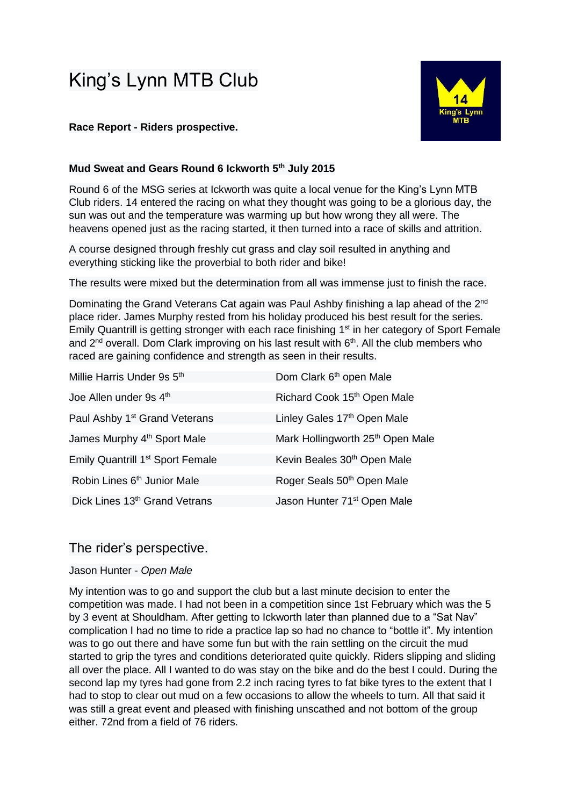# King's Lynn MTB Club

# **Race Report - Riders prospective.**

# **Mud Sweat and Gears Round 6 Ickworth 5th July 2015**

Round 6 of the MSG series at Ickworth was quite a local venue for the King's Lynn MTB Club riders. 14 entered the racing on what they thought was going to be a glorious day, the sun was out and the temperature was warming up but how wrong they all were. The heavens opened just as the racing started, it then turned into a race of skills and attrition.

A course designed through freshly cut grass and clay soil resulted in anything and everything sticking like the proverbial to both rider and bike!

The results were mixed but the determination from all was immense just to finish the race.

Dominating the Grand Veterans Cat again was Paul Ashby finishing a lap ahead of the 2<sup>nd</sup> place rider. James Murphy rested from his holiday produced his best result for the series. Emily Quantrill is getting stronger with each race finishing 1<sup>st</sup> in her category of Sport Female and 2<sup>nd</sup> overall. Dom Clark improving on his last result with 6<sup>th</sup>. All the club members who raced are gaining confidence and strength as seen in their results.

| Millie Harris Under 9s 5th                   | Dom Clark 6 <sup>th</sup> open Male          |
|----------------------------------------------|----------------------------------------------|
| Joe Allen under 9s 4 <sup>th</sup>           | Richard Cook 15th Open Male                  |
| Paul Ashby 1 <sup>st</sup> Grand Veterans    | Linley Gales 17th Open Male                  |
| James Murphy 4 <sup>th</sup> Sport Male      | Mark Hollingworth 25 <sup>th</sup> Open Male |
| Emily Quantrill 1 <sup>st</sup> Sport Female | Kevin Beales 30 <sup>th</sup> Open Male      |
| Robin Lines 6 <sup>th</sup> Junior Male      | Roger Seals 50 <sup>th</sup> Open Male       |
| Dick Lines 13th Grand Vetrans                | Jason Hunter 71 <sup>st</sup> Open Male      |

# The rider's perspective.

# Jason Hunter - *Open Male*

My intention was to go and support the club but a last minute decision to enter the competition was made. I had not been in a competition since 1st February which was the 5 by 3 event at Shouldham. After getting to Ickworth later than planned due to a "Sat Nav" complication I had no time to ride a practice lap so had no chance to "bottle it". My intention was to go out there and have some fun but with the rain settling on the circuit the mud started to grip the tyres and conditions deteriorated quite quickly. Riders slipping and sliding all over the place. All I wanted to do was stay on the bike and do the best I could. During the second lap my tyres had gone from 2.2 inch racing tyres to fat bike tyres to the extent that I had to stop to clear out mud on a few occasions to allow the wheels to turn. All that said it was still a great event and pleased with finishing unscathed and not bottom of the group either. 72nd from a field of 76 riders.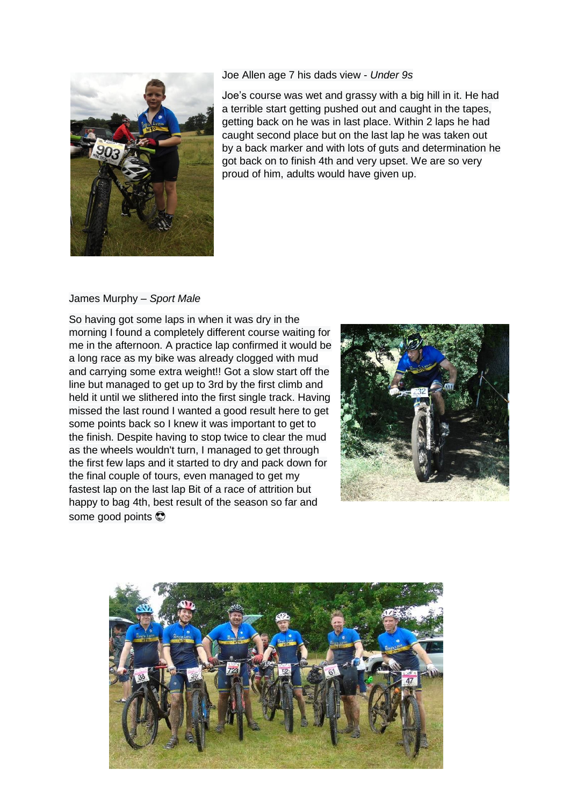

Joe Allen age 7 his dads view - *Under 9s*

Joe's course was wet and grassy with a big hill in it. He had a terrible start getting pushed out and caught in the tapes, getting back on he was in last place. Within 2 laps he had caught second place but on the last lap he was taken out by a back marker and with lots of guts and determination he got back on to finish 4th and very upset. We are so very proud of him, adults would have given up.

# James Murphy – *Sport Male*

So having got some laps in when it was dry in the morning I found a completely different course waiting for me in the afternoon. A practice lap confirmed it would be a long race as my bike was already clogged with mud and carrying some extra weight!! Got a slow start off the line but managed to get up to 3rd by the first climb and held it until we slithered into the first single track. Having missed the last round I wanted a good result here to get some points back so I knew it was important to get to the finish. Despite having to stop twice to clear the mud as the wheels wouldn't turn, I managed to get through the first few laps and it started to dry and pack down for the final couple of tours, even managed to get my fastest lap on the last lap Bit of a race of attrition but happy to bag 4th, best result of the season so far and some good points



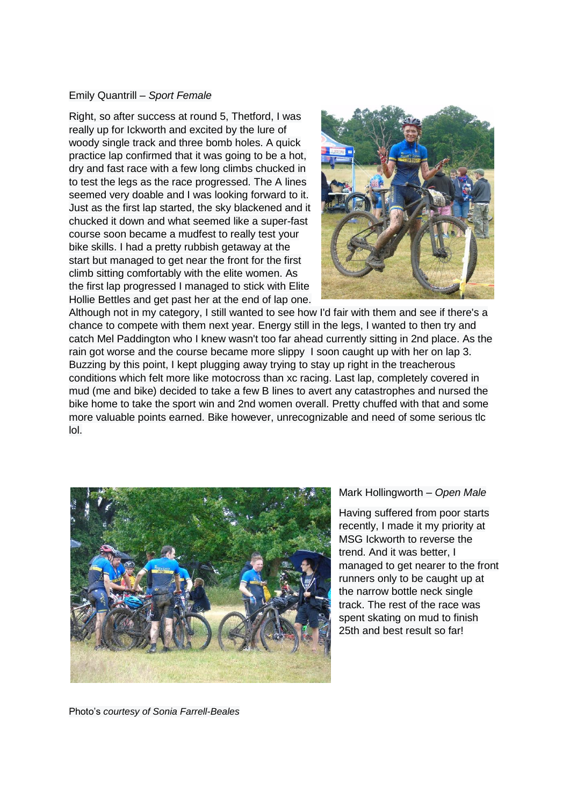# Emily Quantrill – *Sport Female*

Right, so after success at round 5, Thetford, I was really up for Ickworth and excited by the lure of woody single track and three bomb holes. A quick practice lap confirmed that it was going to be a hot, dry and fast race with a few long climbs chucked in to test the legs as the race progressed. The A lines seemed very doable and I was looking forward to it. Just as the first lap started, the sky blackened and it chucked it down and what seemed like a super-fast course soon became a mudfest to really test your bike skills. I had a pretty rubbish getaway at the start but managed to get near the front for the first climb sitting comfortably with the elite women. As the first lap progressed I managed to stick with Elite Hollie Bettles and get past her at the end of lap one.



Although not in my category, I still wanted to see how I'd fair with them and see if there's a chance to compete with them next year. Energy still in the legs, I wanted to then try and catch Mel Paddington who I knew wasn't too far ahead currently sitting in 2nd place. As the rain got worse and the course became more slippy I soon caught up with her on lap 3. Buzzing by this point, I kept plugging away trying to stay up right in the treacherous conditions which felt more like motocross than xc racing. Last lap, completely covered in mud (me and bike) decided to take a few B lines to avert any catastrophes and nursed the bike home to take the sport win and 2nd women overall. Pretty chuffed with that and some more valuable points earned. Bike however, unrecognizable and need of some serious tlc lol.



Mark Hollingworth – *Open Male*

Having suffered from poor starts recently, I made it my priority at MSG Ickworth to reverse the trend. And it was better, I managed to get nearer to the front runners only to be caught up at the narrow bottle neck single track. The rest of the race was spent skating on mud to finish 25th and best result so far!

Photo's *courtesy of Sonia Farrell-Beales*